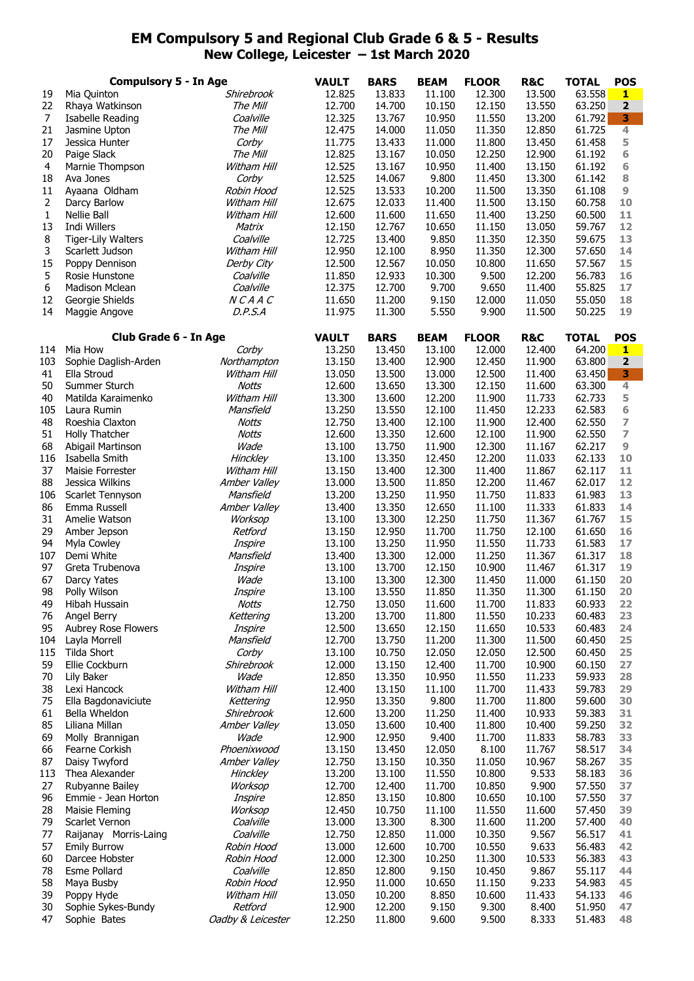## **EM Compulsory 5 and Regional Club Grade 6 & 5 - Results New College, Leicester – 1st March 2020**

|                  | <b>Compulsory 5 - In Age</b>        |                             |                        | <b>BARS</b>      | <b>BEAM</b>      | <b>FLOOR</b>     | <b>R&amp;C</b>   | <b>TOTAL</b>     | <b>POS</b>            |
|------------------|-------------------------------------|-----------------------------|------------------------|------------------|------------------|------------------|------------------|------------------|-----------------------|
| 19               | Mia Quinton                         | Shirebrook                  | <b>VAULT</b><br>12.825 | 13.833           | 11.100           | 12.300           | 13.500           | 63.558           | 1                     |
| 22               | Rhaya Watkinson                     | The Mill                    | 12.700                 | 14.700           | 10.150           | 12.150           | 13.550           | 63.250           | $\mathbf 2$           |
| 7                | Isabelle Reading                    | Coalville                   | 12.325                 | 13.767           | 10.950           | 11.550           | 13.200           | 61.792           | 3                     |
| 21               | Jasmine Upton                       | The Mill                    | 12.475                 | 14.000           | 11.050           | 11.350           | 12.850           | 61.725           | 4                     |
| 17               | Jessica Hunter                      | Corby                       | 11.775                 | 13.433           | 11.000           | 11.800           | 13.450           | 61.458           | 5                     |
| 20               | Paige Slack                         | The Mill                    | 12.825                 | 13.167           | 10.050           | 12.250           | 12.900           | 61.192           | 6                     |
| $\overline{4}$   | Marnie Thompson                     | Witham Hill                 | 12.525                 | 13.167           | 10.950           | 11.400           | 13.150           | 61.192           | 6                     |
| 18<br>11         | Ava Jones                           | Corby<br>Robin Hood         | 12.525<br>12.525       | 14.067<br>13.533 | 9.800<br>10.200  | 11.450<br>11.500 | 13.300<br>13.350 | 61.142<br>61.108 | 8<br>$\boldsymbol{9}$ |
| $\overline{2}$   | Ayaana Oldham<br>Darcy Barlow       | Witham Hill                 | 12.675                 | 12.033           | 11.400           | 11.500           | 13.150           | 60.758           | 10                    |
| 1                | Nellie Ball                         | Witham Hill                 | 12.600                 | 11.600           | 11.650           | 11.400           | 13.250           | 60.500           | 11                    |
| 13               | Indi Willers                        | Matrix                      | 12.150                 | 12.767           | 10.650           | 11.150           | 13.050           | 59.767           | 12                    |
| 8                | <b>Tiger-Lily Walters</b>           | Coalville                   | 12.725                 | 13.400           | 9.850            | 11.350           | 12.350           | 59.675           | 13                    |
| 3                | Scarlett Judson                     | Witham Hill                 | 12.950                 | 12.100           | 8.950            | 11.350           | 12.300           | 57.650           | 14                    |
| 15               | Poppy Dennison                      | Derby City                  | 12.500                 | 12.567           | 10.050           | 10.800           | 11.650           | 57.567           | 15                    |
| 5                | Rosie Hunstone                      | Coalville                   | 11.850                 | 12.933           | 10.300           | 9.500            | 12.200           | 56.783           | 16                    |
| $\boldsymbol{6}$ | Madison Mclean                      | Coalville                   | 12.375                 | 12.700           | 9.700            | 9.650            | 11.400           | 55.825           | 17                    |
| 12               | Georgie Shields                     | NCAAC                       | 11.650                 | 11.200           | 9.150            | 12.000           | 11.050           | 55.050           | 18                    |
| 14               | Maggie Angove                       | D.P.S.A                     | 11.975                 | 11.300           | 5.550            | 9.900            | 11.500           | 50.225           | 19                    |
|                  |                                     |                             |                        |                  |                  |                  |                  |                  |                       |
|                  | Club Grade 6 - In Age               |                             | <b>VAULT</b>           | <b>BARS</b>      | <b>BEAM</b>      | <b>FLOOR</b>     | <b>R&amp;C</b>   | <b>TOTAL</b>     | <b>POS</b>            |
| 114              | Mia How                             | Corby                       | 13.250                 | 13.450           | 13.100           | 12.000           | 12.400           | 64.200           | $\mathbf{1}$          |
| 103              | Sophie Daglish-Arden                | Northampton                 | 13.150                 | 13.400           | 12.900           | 12.450           | 11.900           | 63.800           | $\mathbf 2$           |
| 41               | Ella Stroud                         | Witham Hill                 | 13.050                 | 13.500           | 13.000           | 12.500           | 11.400           | 63.450           | 3<br>$\overline{4}$   |
| 50<br>40         | Summer Sturch<br>Matilda Karaimenko | <b>Notts</b><br>Witham Hill | 12.600<br>13.300       | 13.650<br>13.600 | 13.300<br>12.200 | 12.150<br>11.900 | 11.600<br>11.733 | 63.300<br>62.733 | 5                     |
| 105              | Laura Rumin                         | Mansfield                   | 13.250                 | 13.550           | 12.100           | 11.450           | 12.233           | 62.583           | 6                     |
| 48               | Roeshia Claxton                     | Notts                       | 12.750                 | 13.400           | 12.100           | 11.900           | 12.400           | 62.550           | 7                     |
| 51               | Holly Thatcher                      | <b>Notts</b>                | 12.600                 | 13.350           | 12.600           | 12.100           | 11.900           | 62.550           | $\overline{ }$        |
| 68               | Abigail Martinson                   | Wade                        | 13.100                 | 13.750           | 11.900           | 12.300           | 11.167           | 62.217           | $\boldsymbol{9}$      |
| 116              | Isabella Smith                      | Hinckley                    | 13.100                 | 13.350           | 12.450           | 12.200           | 11.033           | 62.133           | 10                    |
| 37               | Maisie Forrester                    | Witham Hill                 | 13.150                 | 13.400           | 12.300           | 11.400           | 11.867           | 62.117           | 11                    |
| 88               | Jessica Wilkins                     | Amber Valley                | 13.000                 | 13.500           | 11.850           | 12.200           | 11.467           | 62.017           | 12                    |
| 106              | Scarlet Tennyson                    | Mansfield                   | 13.200                 | 13.250           | 11.950           | 11.750           | 11.833           | 61.983           | 13                    |
| 86               | Emma Russell                        | Amber Valley                | 13.400                 | 13.350           | 12.650           | 11.100           | 11.333           | 61.833           | 14                    |
| 31               | Amelie Watson                       | Worksop                     | 13.100                 | 13.300           | 12.250           | 11.750           | 11.367           | 61.767           | 15                    |
| 29               | Amber Jepson                        | Retford                     | 13.150                 | 12.950           | 11.700           | 11.750           | 12.100           | 61.650           | 16                    |
| 94               | Myla Cowley                         | Inspire                     | 13.100                 | 13.250           | 11.950           | 11.550           | 11.733           | 61.583           | 17                    |
| 107              | Demi White                          | Mansfield                   | 13.400                 | 13.300           | 12.000           | 11.250           | 11.367           | 61.317           | 18                    |
| 97<br>67         | Greta Trubenova                     | Inspire                     | 13.100                 | 13.700<br>13.300 | 12.150           | 10.900           | 11.467<br>11.000 | 61.317           | 19<br>20              |
| 98               | Darcy Yates<br>Polly Wilson         | Wade<br>Inspire             | 13.100<br>13.100       | 13.550           | 12.300<br>11.850 | 11.450<br>11.350 | 11.300           | 61.150<br>61.150 | 20                    |
| 49               | Hibah Hussain                       | Notts                       | 12.750                 | 13.050           | 11.600           | 11.700           | 11.833           | 60.933           | 22                    |
| 76               | Angel Berry                         | Kettering                   | 13.200                 | 13.700           | 11.800           | 11.550           | 10.233           | 60.483           | 23                    |
| 95               | Aubrey Rose Flowers                 | Inspire                     | 12.500                 | 13.650           | 12.150           | 11.650           | 10.533           | 60.483           | 24                    |
| 104              | Layla Morrell                       | Mansfield                   | 12.700                 | 13.750           | 11.200           | 11.300           | 11.500           | 60.450           | 25                    |
| 115              | <b>Tilda Short</b>                  | Corby                       | 13.100                 | 10.750           | 12.050           | 12.050           | 12.500           | 60.450           | 25                    |
| 59               | Ellie Cockburn                      | Shirebrook                  | 12.000                 | 13.150           | 12.400           | 11.700           | 10.900           | 60.150           | 27                    |
| 70               | Lily Baker                          | Wade                        | 12.850                 | 13.350           | 10.950           | 11.550           | 11.233           | 59.933           | 28                    |
| 38               | Lexi Hancock                        | Witham Hill                 | 12.400                 | 13.150           | 11.100           | 11.700           | 11.433           | 59.783           | 29                    |
| 75               | Ella Bagdonaviciute                 | Kettering                   | 12.950                 | 13.350           | 9.800            | 11.700           | 11.800           | 59.600           | 30                    |
| 61               | Bella Wheldon                       | Shirebrook                  | 12.600                 | 13.200           | 11.250           | 11.400           | 10.933           | 59.383           | 31                    |
| 85               | Liliana Millan                      | Amber Valley                | 13.050                 | 13.600           | 10.400           | 11.800           | 10.400           | 59.250           | 32                    |
| 69               | Molly Brannigan                     | Wade<br>Phoenixwood         | 12.900                 | 12.950           | 9.400<br>12.050  | 11.700<br>8.100  | 11.833<br>11.767 | 58.783<br>58.517 | 33<br>34              |
| 66<br>87         | Fearne Corkish<br>Daisy Twyford     | Amber Valley                | 13.150<br>12.750       | 13.450<br>13.150 | 10.350           | 11.050           | 10.967           | 58.267           | 35                    |
| 113              | Thea Alexander                      | Hinckley                    | 13.200                 | 13.100           | 11.550           | 10.800           | 9.533            | 58.183           | 36                    |
| 27               | Rubyanne Bailey                     | Worksop                     | 12.700                 | 12.400           | 11.700           | 10.850           | 9.900            | 57.550           | 37                    |
| 96               | Emmie - Jean Horton                 | Inspire                     | 12.850                 | 13.150           | 10.800           | 10.650           | 10.100           | 57.550           | 37                    |
| 28               | Maisie Fleming                      | Worksop                     | 12.450                 | 10.750           | 11.100           | 11.550           | 11.600           | 57.450           | 39                    |
| 79               | Scarlet Vernon                      | Coalville                   | 13.000                 | 13.300           | 8.300            | 11.600           | 11.200           | 57.400           | 40                    |
| 77               | Raijanay Morris-Laing               | Coalville                   | 12.750                 | 12.850           | 11.000           | 10.350           | 9.567            | 56.517           | 41                    |
| 57               | <b>Emily Burrow</b>                 | Robin Hood                  | 13.000                 | 12.600           | 10.700           | 10.550           | 9.633            | 56.483           | 42                    |
| 60               | Darcee Hobster                      | Robin Hood                  | 12.000                 | 12.300           | 10.250           | 11.300           | 10.533           | 56.383           | 43                    |
| 78               | Esme Pollard                        | Coalville                   | 12.850                 | 12.800           | 9.150            | 10.450           | 9.867            | 55.117           | 44                    |
| 58               | Maya Busby                          | Robin Hood                  | 12.950                 | 11.000           | 10.650           | 11.150           | 9.233            | 54.983           | 45                    |
| 39               | Poppy Hyde                          | Witham Hill                 | 13.050                 | 10.200           | 8.850            | 10.600           | 11.433           | 54.133           | 46                    |
| 30               | Sophie Sykes-Bundy                  | Retford                     | 12.900                 | 12.200           | 9.150            | 9.300            | 8.400            | 51.950           | 47                    |
| 47               | Sophie Bates                        | Oadby & Leicester           | 12.250                 | 11.800           | 9.600            | 9.500            | 8.333            | 51.483           | 48                    |